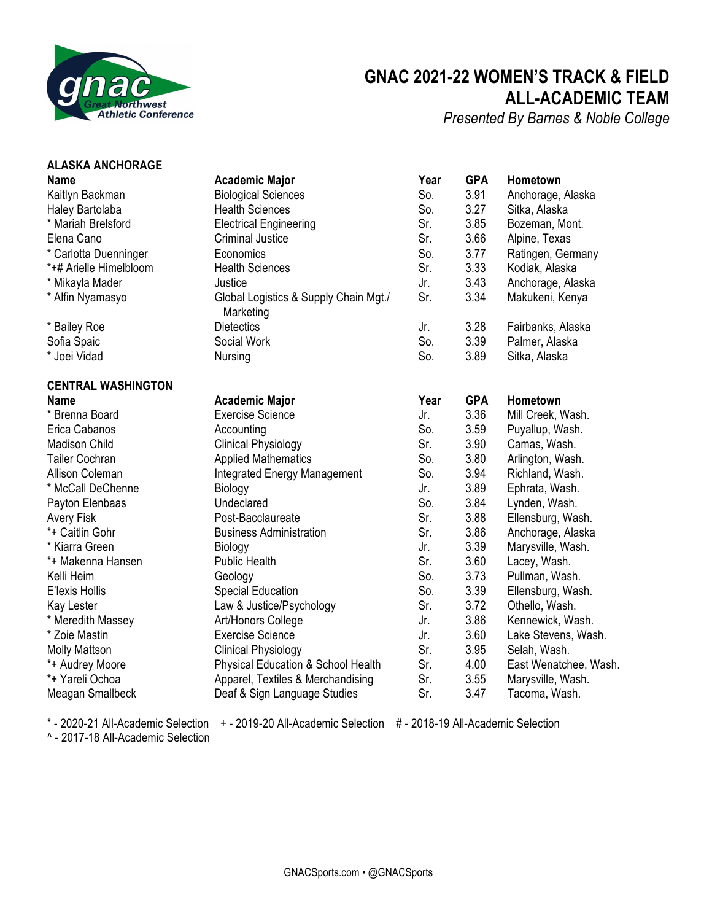

# **GNAC 2021-22 WOMEN'S TRACK & FIELD ALL-ACADEMIC TEAM**

*Presented By Barnes & Noble College*

| <b>ALASKA ANCHORAGE</b>   |                                                    |      |            |                       |
|---------------------------|----------------------------------------------------|------|------------|-----------------------|
| <b>Name</b>               | <b>Academic Major</b>                              | Year | <b>GPA</b> | Hometown              |
| Kaitlyn Backman           | <b>Biological Sciences</b>                         | So.  | 3.91       | Anchorage, Alaska     |
| Haley Bartolaba           | <b>Health Sciences</b>                             | So.  | 3.27       | Sitka, Alaska         |
| * Mariah Brelsford        | <b>Electrical Engineering</b>                      | Sr.  | 3.85       | Bozeman, Mont.        |
| Elena Cano                | <b>Criminal Justice</b>                            | Sr.  | 3.66       | Alpine, Texas         |
| * Carlotta Duenninger     | Economics                                          | So.  | 3.77       | Ratingen, Germany     |
| *+# Arielle Himelbloom    | <b>Health Sciences</b>                             | Sr.  | 3.33       | Kodiak, Alaska        |
| * Mikayla Mader           | Justice                                            | Jr.  | 3.43       | Anchorage, Alaska     |
| * Alfin Nyamasyo          | Global Logistics & Supply Chain Mgt./<br>Marketing | Sr.  | 3.34       | Makukeni, Kenya       |
| * Bailey Roe              | <b>Dietectics</b>                                  | Jr.  | 3.28       | Fairbanks, Alaska     |
| Sofia Spaic               | Social Work                                        | So.  | 3.39       | Palmer, Alaska        |
| * Joei Vidad              | Nursing                                            | So.  | 3.89       | Sitka, Alaska         |
| <b>CENTRAL WASHINGTON</b> |                                                    |      |            |                       |
| <b>Name</b>               | <b>Academic Major</b>                              | Year | <b>GPA</b> | Hometown              |
| * Brenna Board            | <b>Exercise Science</b>                            | Jr.  | 3.36       | Mill Creek, Wash.     |
| Erica Cabanos             | Accounting                                         | So.  | 3.59       | Puyallup, Wash.       |
| Madison Child             | <b>Clinical Physiology</b>                         | Sr.  | 3.90       | Camas, Wash.          |
| Tailer Cochran            | <b>Applied Mathematics</b>                         | So.  | 3.80       | Arlington, Wash.      |
| Allison Coleman           | <b>Integrated Energy Management</b>                | So.  | 3.94       | Richland, Wash.       |
| * McCall DeChenne         | Biology                                            | Jr.  | 3.89       | Ephrata, Wash.        |
| Payton Elenbaas           | Undeclared                                         | So.  | 3.84       | Lynden, Wash.         |
| Avery Fisk                | Post-Bacclaureate                                  | Sr.  | 3.88       | Ellensburg, Wash.     |
| *+ Caitlin Gohr           | <b>Business Administration</b>                     | Sr.  | 3.86       | Anchorage, Alaska     |
| * Kiarra Green            | Biology                                            | Jr.  | 3.39       | Marysville, Wash.     |
| *+ Makenna Hansen         | <b>Public Health</b>                               | Sr.  | 3.60       | Lacey, Wash.          |
| Kelli Heim                | Geology                                            | So.  | 3.73       | Pullman, Wash.        |
| E'lexis Hollis            | Special Education                                  | So.  | 3.39       | Ellensburg, Wash.     |
| Kay Lester                | Law & Justice/Psychology                           | Sr.  | 3.72       | Othello, Wash.        |
| * Meredith Massey         | Art/Honors College                                 | Jr.  | 3.86       | Kennewick, Wash.      |
| * Zoie Mastin             | <b>Exercise Science</b>                            | Jr.  | 3.60       | Lake Stevens, Wash.   |
| Molly Mattson             | <b>Clinical Physiology</b>                         | Sr.  | 3.95       | Selah, Wash.          |
| *+ Audrey Moore           | Physical Education & School Health                 | Sr.  | 4.00       | East Wenatchee, Wash. |
| *+ Yareli Ochoa           | Apparel, Textiles & Merchandising                  | Sr.  | 3.55       | Marysville, Wash.     |
| Meagan Smallbeck          | Deaf & Sign Language Studies                       | Sr.  | 3.47       | Tacoma, Wash.         |

\* - 2020-21 All-Academic Selection + - 2019-20 All-Academic Selection # - 2018-19 All-Academic Selection

^ - 2017-18 All-Academic Selection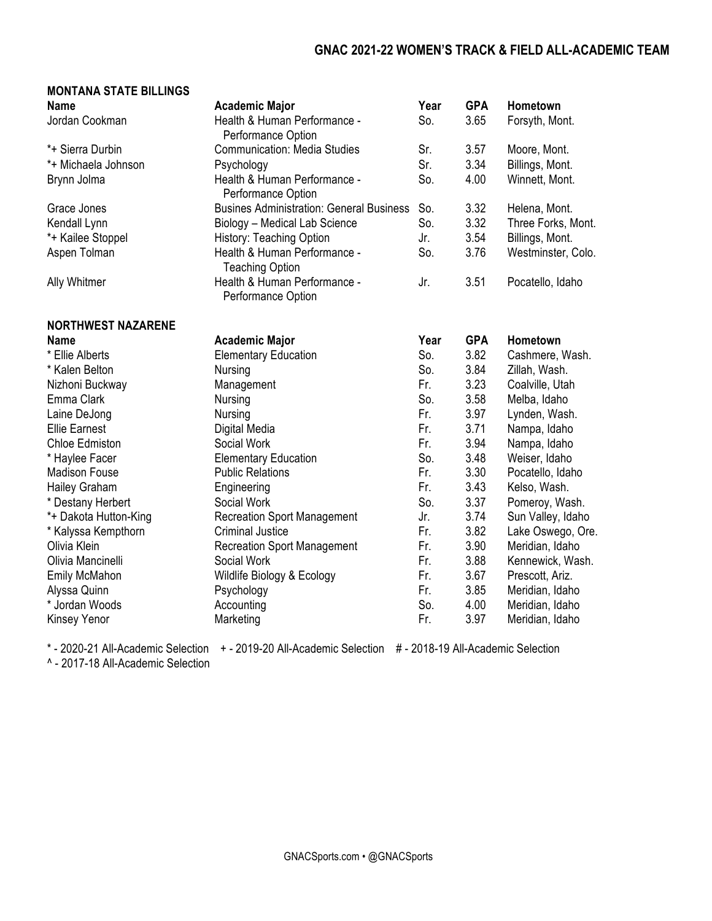## **GNAC 2021-22 WOMEN'S TRACK & FIELD ALL-ACADEMIC TEAM**

### **MONTANA STATE BILLINGS**

| <b>Name</b>               | <b>Academic Major</b>                                  | Year | <b>GPA</b> | Hometown           |
|---------------------------|--------------------------------------------------------|------|------------|--------------------|
| Jordan Cookman            | Health & Human Performance -<br>Performance Option     | So.  | 3.65       | Forsyth, Mont.     |
| *+ Sierra Durbin          | <b>Communication: Media Studies</b>                    | Sr.  | 3.57       | Moore, Mont.       |
| *+ Michaela Johnson       | Psychology                                             | Sr.  | 3.34       | Billings, Mont.    |
| Brynn Jolma               | Health & Human Performance -<br>Performance Option     | So.  | 4.00       | Winnett, Mont.     |
| Grace Jones               | <b>Busines Administration: General Business</b>        | So.  | 3.32       | Helena, Mont.      |
| Kendall Lynn              | Biology - Medical Lab Science                          | So.  | 3.32       | Three Forks, Mont. |
| *+ Kailee Stoppel         | History: Teaching Option                               | Jr.  | 3.54       | Billings, Mont.    |
| Aspen Tolman              | Health & Human Performance -<br><b>Teaching Option</b> | So.  | 3.76       | Westminster, Colo. |
| Ally Whitmer              | Health & Human Performance -<br>Performance Option     | Jr.  | 3.51       | Pocatello, Idaho   |
| <b>NORTHWEST NAZARENE</b> |                                                        |      |            |                    |
| Name                      | <b>Academic Major</b>                                  | Year | <b>GPA</b> | Hometown           |
| * Ellie Alberts           | <b>Elementary Education</b>                            | So.  | 3.82       | Cashmere, Wash.    |
| * Kalen Belton            | Nursing                                                | So.  | 3.84       | Zillah, Wash.      |
| Nizhoni Buckway           | Management                                             | Fr.  | 3.23       | Coalville, Utah    |
| Emma Clark                | Nursing                                                | So.  | 3.58       | Melba, Idaho       |
| Laine DeJong              | Nursing                                                | Fr.  | 3.97       | Lynden, Wash.      |
| <b>Ellie Earnest</b>      | Digital Media                                          | Fr.  | 3.71       | Nampa, Idaho       |
| <b>Chloe Edmiston</b>     | Social Work                                            | Fr.  | 3.94       | Nampa, Idaho       |
| * Haylee Facer            | <b>Elementary Education</b>                            | So.  | 3.48       | Weiser, Idaho      |
| <b>Madison Fouse</b>      | <b>Public Relations</b>                                | Fr.  | 3.30       | Pocatello, Idaho   |
| Hailey Graham             | Engineering                                            | Fr.  | 3.43       | Kelso, Wash.       |
| * Destany Herbert         | Social Work                                            | So.  | 3.37       | Pomeroy, Wash.     |
| *+ Dakota Hutton-King     | <b>Recreation Sport Management</b>                     | Jr.  | 3.74       | Sun Valley, Idaho  |
| * Kalyssa Kempthorn       | <b>Criminal Justice</b>                                | Fr.  | 3.82       | Lake Oswego, Ore.  |
| Olivia Klein              | <b>Recreation Sport Management</b>                     | Fr.  | 3.90       | Meridian, Idaho    |
| Olivia Mancinelli         | Social Work                                            | Fr.  | 3.88       | Kennewick, Wash.   |
| <b>Emily McMahon</b>      | Wildlife Biology & Ecology                             | Fr.  | 3.67       | Prescott, Ariz.    |
| Alyssa Quinn              | Psychology                                             | Fr.  | 3.85       | Meridian, Idaho    |
| * Jordan Woods            | Accounting                                             | So.  | 4.00       | Meridian, Idaho    |
| Kinsey Yenor              | Marketing                                              | Fr.  | 3.97       | Meridian, Idaho    |

\* - 2020-21 All-Academic Selection + - 2019-20 All-Academic Selection # - 2018-19 All-Academic Selection

^ - 2017-18 All-Academic Selection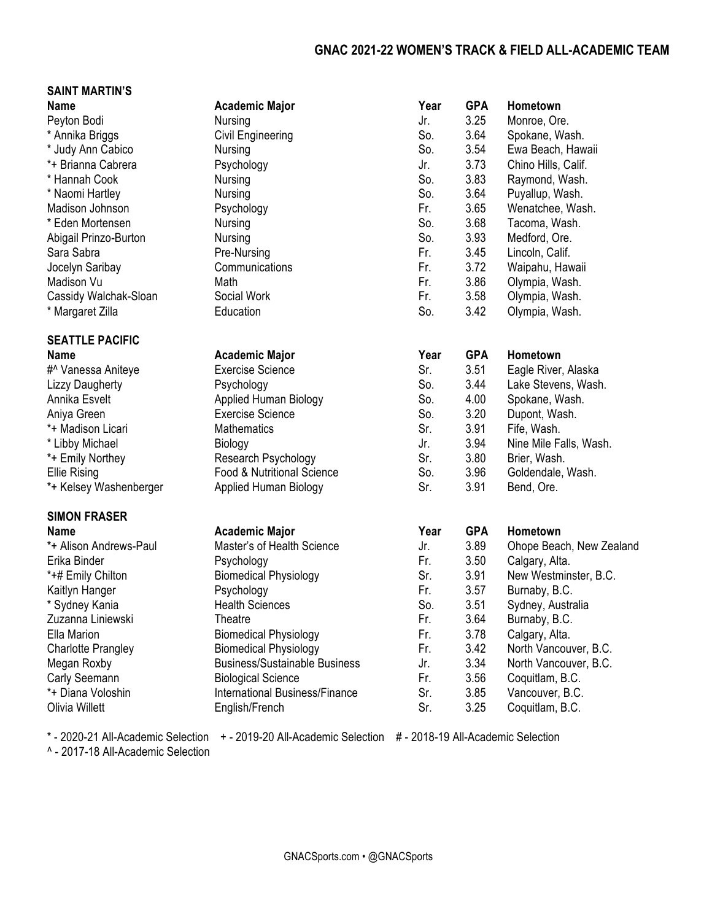## **GNAC 2021-22 WOMEN'S TRACK & FIELD ALL-ACADEMIC TEAM**

| <b>SAINT MARTIN'S</b>     |                                       |      |            |                          |
|---------------------------|---------------------------------------|------|------------|--------------------------|
| <b>Name</b>               | <b>Academic Major</b>                 | Year | <b>GPA</b> | Hometown                 |
| Peyton Bodi               | Nursing                               | Jr.  | 3.25       | Monroe, Ore.             |
| * Annika Briggs           | Civil Engineering                     | So.  | 3.64       | Spokane, Wash.           |
| * Judy Ann Cabico         | Nursing                               | So.  | 3.54       | Ewa Beach, Hawaii        |
| *+ Brianna Cabrera        | Psychology                            | Jr.  | 3.73       | Chino Hills, Calif.      |
| * Hannah Cook             | Nursing                               | So.  | 3.83       | Raymond, Wash.           |
| * Naomi Hartley           | Nursing                               | So.  | 3.64       | Puyallup, Wash.          |
| Madison Johnson           | Psychology                            | Fr.  | 3.65       | Wenatchee, Wash.         |
| * Eden Mortensen          | Nursing                               | So.  | 3.68       | Tacoma, Wash.            |
| Abigail Prinzo-Burton     | Nursing                               | So.  | 3.93       | Medford, Ore.            |
| Sara Sabra                | Pre-Nursing                           | Fr.  | 3.45       | Lincoln, Calif.          |
| Jocelyn Saribay           | Communications                        | Fr.  | 3.72       | Waipahu, Hawaii          |
| Madison Vu                | Math                                  | Fr.  | 3.86       | Olympia, Wash.           |
| Cassidy Walchak-Sloan     | Social Work                           | Fr.  | 3.58       | Olympia, Wash.           |
| * Margaret Zilla          | Education                             | So.  | 3.42       | Olympia, Wash.           |
| <b>SEATTLE PACIFIC</b>    |                                       |      |            |                          |
| <b>Name</b>               | <b>Academic Major</b>                 | Year | <b>GPA</b> | Hometown                 |
| #^ Vanessa Aniteye        | <b>Exercise Science</b>               | Sr.  | 3.51       | Eagle River, Alaska      |
| <b>Lizzy Daugherty</b>    | Psychology                            | So.  | 3.44       | Lake Stevens, Wash.      |
| Annika Esvelt             | <b>Applied Human Biology</b>          | So.  | 4.00       | Spokane, Wash.           |
| Aniya Green               | <b>Exercise Science</b>               | So.  | 3.20       | Dupont, Wash.            |
| *+ Madison Licari         | Mathematics                           | Sr.  | 3.91       | Fife, Wash.              |
| * Libby Michael           | Biology                               | Jr.  | 3.94       | Nine Mile Falls, Wash.   |
| *+ Emily Northey          | Research Psychology                   | Sr.  | 3.80       | Brier, Wash.             |
| <b>Ellie Rising</b>       | <b>Food &amp; Nutritional Science</b> | So.  | 3.96       | Goldendale, Wash.        |
| *+ Kelsey Washenberger    | Applied Human Biology                 | Sr.  | 3.91       | Bend, Ore.               |
| <b>SIMON FRASER</b>       |                                       |      |            |                          |
| <b>Name</b>               | <b>Academic Major</b>                 | Year | <b>GPA</b> | Hometown                 |
| *+ Alison Andrews-Paul    | Master's of Health Science            | Jr.  | 3.89       | Ohope Beach, New Zealand |
| Erika Binder              | Psychology                            | Fr.  | 3.50       | Calgary, Alta.           |
| *+# Emily Chilton         | <b>Biomedical Physiology</b>          | Sr.  | 3.91       | New Westminster, B.C.    |
| Kaitlyn Hanger            | Psychology                            | Fr.  | 3.57       | Burnaby, B.C.            |
| * Sydney Kania            | <b>Health Sciences</b>                | So.  | 3.51       | Sydney, Australia        |
| Zuzanna Liniewski         | Theatre                               | Fr.  | 3.64       | Burnaby, B.C.            |
| Ella Marion               | <b>Biomedical Physiology</b>          | Fr.  | 3.78       | Calgary, Alta.           |
| <b>Charlotte Prangley</b> | <b>Biomedical Physiology</b>          | Fr.  | 3.42       | North Vancouver, B.C.    |
| Megan Roxby               | <b>Business/Sustainable Business</b>  | Jr.  | 3.34       | North Vancouver, B.C.    |
| Carly Seemann             | <b>Biological Science</b>             | Fr.  | 3.56       | Coquitlam, B.C.          |
| *+ Diana Voloshin         | International Business/Finance        | Sr.  | 3.85       | Vancouver, B.C.          |
| Olivia Willett            | English/French                        | Sr.  | 3.25       | Coquitlam, B.C.          |

\* - 2020-21 All-Academic Selection + - 2019-20 All-Academic Selection # - 2018-19 All-Academic Selection ^ - 2017-18 All-Academic Selection